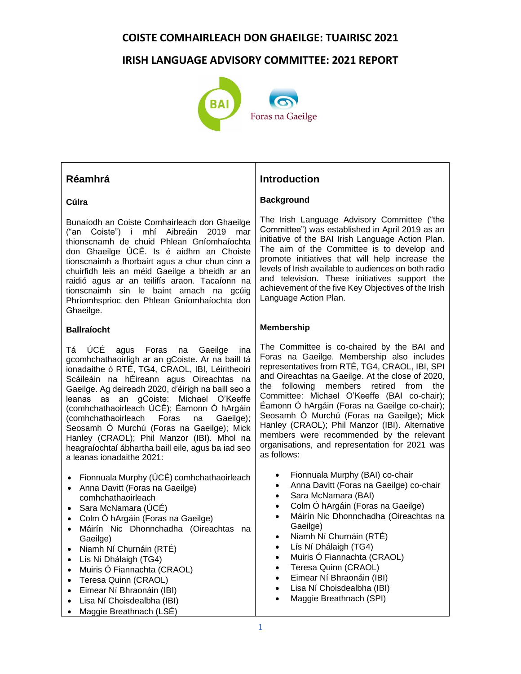# **IRISH LANGUAGE ADVISORY COMMITTEE: 2021 REPORT**



# **Réamhrá**

#### **Cúlra**

Bunaíodh an Coiste Comhairleach don Ghaeilge ("an Coiste") i mhí Aibreáin 2019 mar thionscnamh de chuid Phlean Gníomhaíochta don Ghaeilge ÚCÉ. Is é aidhm an Choiste tionscnaimh a fhorbairt agus a chur chun cinn a chuirfidh leis an méid Gaeilge a bheidh ar an raidió agus ar an teilifís araon. Tacaíonn na tionscnaimh sin le baint amach na gcúig Phríomhsprioc den Phlean Gníomhaíochta don Ghaeilge.

## **Ballraíocht**

Tá ÚCÉ agus Foras na Gaeilge ina gcomhchathaoirligh ar an gCoiste. Ar na baill tá ionadaithe ó RTÉ, TG4, CRAOL, IBI, Léiritheoirí Scáileáin na hÉireann agus Oireachtas na Gaeilge. Ag deireadh 2020, d'éirigh na baill seo a leanas as an gCoiste: Michael O'Keeffe (comhchathaoirleach ÚCÉ); Éamonn Ó hArgáin<br>(comhchathaoirleach Foras na Gaeilge): (comhchathaoirleach Foras na Seosamh Ó Murchú (Foras na Gaeilge); Mick Hanley (CRAOL); Phil Manzor (IBI). Mhol na heagraíochtaí ábhartha baill eile, agus ba iad seo a leanas ionadaithe 2021:

- Fionnuala Murphy (ÚCÉ) comhchathaoirleach
- Anna Davitt (Foras na Gaeilge) comhchathaoirleach
- Sara McNamara (ÚCÉ)
- Colm Ó hArgáin (Foras na Gaeilge)
- Máirín Nic Dhonnchadha (Oireachtas na Gaeilge)
- Niamh Ní Churnáin (RTÉ)
- Lís Ní Dhálaigh (TG4)
- Muiris Ó Fiannachta (CRAOL)
- Teresa Quinn (CRAOL)
- Eimear Ní Bhraonáin (IBI)
- Lisa Ní Choisdealbha (IBI)
- Maggie Breathnach (LSÉ)

# **Introduction**

## **Background**

The Irish Language Advisory Committee ("the Committee") was established in April 2019 as an initiative of the BAI Irish Language Action Plan. The aim of the Committee is to develop and promote initiatives that will help increase the levels of Irish available to audiences on both radio and television. These initiatives support the achievement of the five Key Objectives of the Irish Language Action Plan.

## **Membership**

The Committee is co-chaired by the BAI and Foras na Gaeilge. Membership also includes representatives from RTÉ, TG4, CRAOL, IBI, SPI and Oireachtas na Gaeilge. At the close of 2020, the following members retired from the Committee: Michael O'Keeffe (BAI co-chair); Éamonn Ó hArgáin (Foras na Gaeilge co-chair); Seosamh Ó Murchú (Foras na Gaeilge); Mick Hanley (CRAOL); Phil Manzor (IBI). Alternative members were recommended by the relevant organisations, and representation for 2021 was as follows:

- Fionnuala Murphy (BAI) co-chair
- Anna Davitt (Foras na Gaeilge) co-chair
- Sara McNamara (BAI)
- Colm Ó hArgáin (Foras na Gaeilge)
- Máirín Nic Dhonnchadha (Oireachtas na Gaeilge)
- Niamh Ní Churnáin (RTÉ)
- Lís Ní Dhálaigh (TG4)
- Muiris Ó Fiannachta (CRAOL)
- Teresa Quinn (CRAOL)
- Eimear Ní Bhraonáin (IBI)
- Lisa Ní Choisdealbha (IBI)
- Maggie Breathnach (SPI)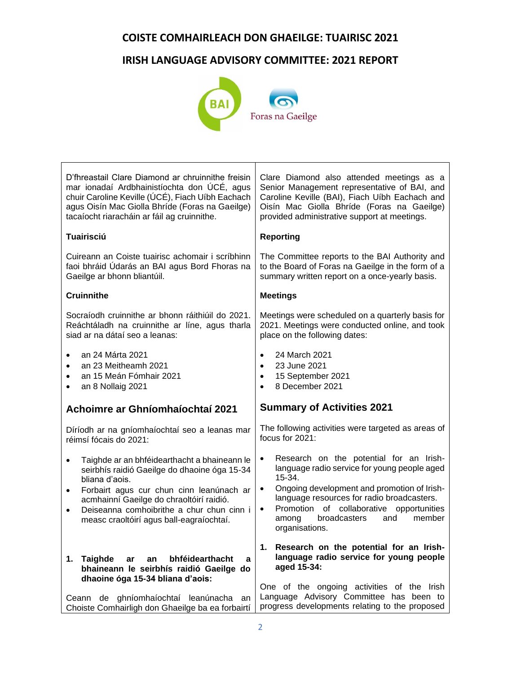# **IRISH LANGUAGE ADVISORY COMMITTEE: 2021 REPORT**



| Clare Diamond also attended meetings as a<br>Senior Management representative of BAI, and<br>Caroline Keville (BAI), Fiach Uíbh Eachach and<br>Oisín Mac Giolla Bhríde (Foras na Gaeilge)<br>provided administrative support at meetings.                                                                                                                                                                                                                                                                                                                                                                                                                                                                                                                                                                  |
|------------------------------------------------------------------------------------------------------------------------------------------------------------------------------------------------------------------------------------------------------------------------------------------------------------------------------------------------------------------------------------------------------------------------------------------------------------------------------------------------------------------------------------------------------------------------------------------------------------------------------------------------------------------------------------------------------------------------------------------------------------------------------------------------------------|
| <b>Reporting</b>                                                                                                                                                                                                                                                                                                                                                                                                                                                                                                                                                                                                                                                                                                                                                                                           |
| The Committee reports to the BAI Authority and<br>to the Board of Foras na Gaeilge in the form of a<br>summary written report on a once-yearly basis.                                                                                                                                                                                                                                                                                                                                                                                                                                                                                                                                                                                                                                                      |
| <b>Meetings</b>                                                                                                                                                                                                                                                                                                                                                                                                                                                                                                                                                                                                                                                                                                                                                                                            |
| Meetings were scheduled on a quarterly basis for<br>2021. Meetings were conducted online, and took<br>place on the following dates:                                                                                                                                                                                                                                                                                                                                                                                                                                                                                                                                                                                                                                                                        |
| 24 March 2021<br>$\bullet$<br>23 June 2021<br>$\bullet$<br>15 September 2021<br>$\bullet$<br>8 December 2021<br>$\bullet$                                                                                                                                                                                                                                                                                                                                                                                                                                                                                                                                                                                                                                                                                  |
| <b>Summary of Activities 2021</b>                                                                                                                                                                                                                                                                                                                                                                                                                                                                                                                                                                                                                                                                                                                                                                          |
| The following activities were targeted as areas of<br>focus for 2021:                                                                                                                                                                                                                                                                                                                                                                                                                                                                                                                                                                                                                                                                                                                                      |
| Research on the potential for an Irish-<br>$\bullet$<br>language radio service for young people aged<br>15-34.<br>Ongoing development and promotion of Irish-<br>$\bullet$<br>language resources for radio broadcasters.<br>Promotion of collaborative opportunities<br>$\bullet$<br>broadcasters<br>member<br>and<br>among<br>organisations.                                                                                                                                                                                                                                                                                                                                                                                                                                                              |
| 1. Research on the potential for an Irish-<br>language radio service for young people<br>aged 15-34:<br>One of the ongoing activities of the Irish<br>Language Advisory Committee has been to<br>progress developments relating to the proposed                                                                                                                                                                                                                                                                                                                                                                                                                                                                                                                                                            |
| D'fhreastail Clare Diamond ar chruinnithe freisin<br>mar ionadaí Ardbhainistíochta don ÚCÉ, agus<br>chuir Caroline Keville (ÚCÉ), Fiach Uíbh Eachach<br>agus Oisín Mac Giolla Bhríde (Foras na Gaeilge)<br>Cuireann an Coiste tuairisc achomair i scríbhinn<br>faoi bhráid Údarás an BAI agus Bord Fhoras na<br>Socraíodh cruinnithe ar bhonn ráithiúil do 2021.<br>Reáchtáladh na cruinnithe ar líne, agus tharla<br>Díríodh ar na gníomhaíochtaí seo a leanas mar<br>Taighde ar an bhféidearthacht a bhaineann le<br>seirbhís raidió Gaeilge do dhaoine óga 15-34<br>Forbairt agus cur chun cinn leanúnach ar<br>Deiseanna comhoibrithe a chur chun cinn i<br>a<br>bhaineann le seirbhís raidió Gaeilge do<br>Ceann de ghníomhaíochtaí leanúnacha an<br>Choiste Comhairligh don Ghaeilge ba ea forbairtí |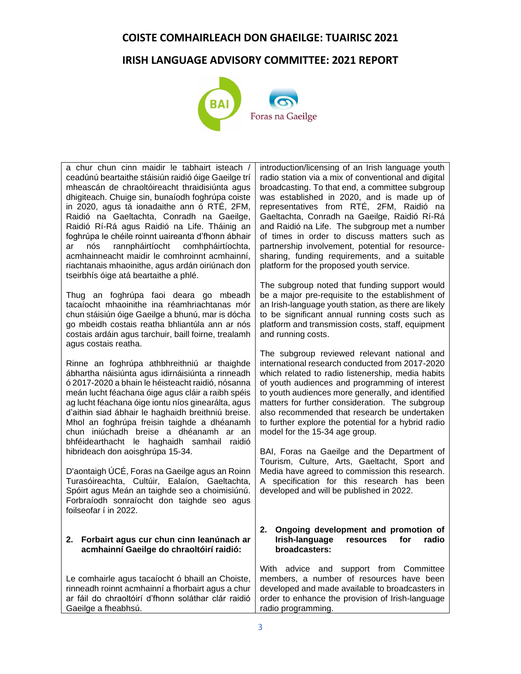# **IRISH LANGUAGE ADVISORY COMMITTEE: 2021 REPORT**



a chur chun cinn maidir le tabhairt isteach / ceadúnú beartaithe stáisiún raidió óige Gaeilge trí mheascán de chraoltóireacht thraidisiúnta agus dhigiteach. Chuige sin, bunaíodh foghrúpa coiste in 2020, agus tá ionadaithe ann ó RTÉ, 2FM, Raidió na Gaeltachta, Conradh na Gaeilge, Raidió Rí-Rá agus Raidió na Life. Tháinig an foghrúpa le chéile roinnt uaireanta d'fhonn ábhair ar nós rannpháirtíocht comhpháirtíochta, acmhainneacht maidir le comhroinnt acmhainní, riachtanais mhaoinithe, agus ardán oiriúnach don tseirbhís óige atá beartaithe a phlé.

Thug an foghrúpa faoi deara go mbeadh tacaíocht mhaoinithe ina réamhriachtanas mór chun stáisiún óige Gaeilge a bhunú, mar is dócha go mbeidh costais reatha bhliantúla ann ar nós costais ardáin agus tarchuir, baill foirne, trealamh agus costais reatha.

Rinne an foghrúpa athbhreithniú ar thaighde ábhartha náisiúnta agus idirnáisiúnta a rinneadh ó 2017-2020 a bhain le héisteacht raidió, nósanna meán lucht féachana óige agus cláir a raibh spéis ag lucht féachana óige iontu níos ginearálta, agus d'aithin siad ábhair le haghaidh breithniú breise. Mhol an foghrúpa freisin taighde a dhéanamh chun iniúchadh breise a dhéanamh ar an bhféidearthacht le haghaidh samhail raidió hibrideach don aoisghrúpa 15-34.

D'aontaigh ÚCÉ, Foras na Gaeilge agus an Roinn Turasóireachta, Cultúir, Ealaíon, Gaeltachta, Spóirt agus Meán an taighde seo a choimisiúnú. Forbraíodh sonraíocht don taighde seo agus foilseofar í in 2022.

#### **2. Forbairt agus cur chun cinn leanúnach ar acmhainní Gaeilge do chraoltóirí raidió:**

Le comhairle agus tacaíocht ó bhaill an Choiste, rinneadh roinnt acmhainní a fhorbairt agus a chur ar fáil do chraoltóirí d'fhonn soláthar clár raidió Gaeilge a fheabhsú.

introduction/licensing of an Irish language youth radio station via a mix of conventional and digital broadcasting. To that end, a committee subgroup was established in 2020, and is made up of representatives from RTÉ, 2FM, Raidió na Gaeltachta, Conradh na Gaeilge, Raidió Rí-Rá and Raidió na Life. The subgroup met a number of times in order to discuss matters such as partnership involvement, potential for resourcesharing, funding requirements, and a suitable platform for the proposed youth service.

The subgroup noted that funding support would be a major pre-requisite to the establishment of an Irish-language youth station, as there are likely to be significant annual running costs such as platform and transmission costs, staff, equipment and running costs.

The subgroup reviewed relevant national and international research conducted from 2017-2020 which related to radio listenership, media habits of youth audiences and programming of interest to youth audiences more generally, and identified matters for further consideration. The subgroup also recommended that research be undertaken to further explore the potential for a hybrid radio model for the 15-34 age group.

BAI, Foras na Gaeilge and the Department of Tourism, Culture, Arts, Gaeltacht, Sport and Media have agreed to commission this research. A specification for this research has been developed and will be published in 2022.

#### **2. Ongoing development and promotion of Indiacer radio resources for radio broadcasters:**

With advice and support from Committee members, a number of resources have been developed and made available to broadcasters in order to enhance the provision of Irish-language radio programming.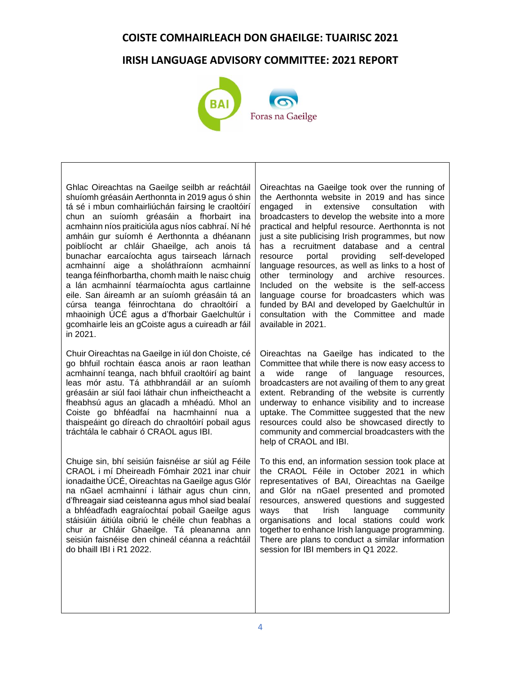# **IRISH LANGUAGE ADVISORY COMMITTEE: 2021 REPORT**



Ghlac Oireachtas na Gaeilge seilbh ar reáchtáil shuíomh gréasáin Aerthonnta in 2019 agus ó shin tá sé i mbun comhairliúchán fairsing le craoltóirí chun an suíomh gréasáin a fhorbairt ina acmhainn níos praiticiúla agus níos cabhraí. Ní hé amháin gur suíomh é Aerthonnta a dhéanann poiblíocht ar chláir Ghaeilge, ach anois tá bunachar earcaíochta agus tairseach lárnach acmhainní aige a sholáthraíonn acmhainní teanga féinfhorbartha, chomh maith le naisc chuig a lán acmhainní téarmaíochta agus cartlainne eile. San áireamh ar an suíomh gréasáin tá an cúrsa teanga féinrochtana do chraoltóirí a mhaoinigh ÚCÉ agus a d'fhorbair Gaelchultúr i gcomhairle leis an gCoiste agus a cuireadh ar fáil in 2021.

Chuir Oireachtas na Gaeilge in iúl don Choiste, cé go bhfuil rochtain éasca anois ar raon leathan acmhainní teanga, nach bhfuil craoltóirí ag baint leas mór astu. Tá athbhrandáil ar an suíomh gréasáin ar siúl faoi láthair chun infheictheacht a fheabhsú agus an glacadh a mhéadú. Mhol an Coiste go bhféadfaí na hacmhainní nua a thaispeáint go díreach do chraoltóirí pobail agus tráchtála le cabhair ó CRAOL agus IBI.

Chuige sin, bhí seisiún faisnéise ar siúl ag Féile CRAOL i mí Dheireadh Fómhair 2021 inar chuir ionadaithe ÚCÉ, Oireachtas na Gaeilge agus Glór na nGael acmhainní i láthair agus chun cinn, d'fhreagair siad ceisteanna agus mhol siad bealaí a bhféadfadh eagraíochtaí pobail Gaeilge agus stáisiúin áitiúla oibriú le chéile chun feabhas a chur ar Chláir Ghaeilge. Tá pleananna ann seisiún faisnéise den chineál céanna a reáchtáil do bhaill IBI i R1 2022.

Oireachtas na Gaeilge took over the running of the Aerthonnta website in 2019 and has since engaged in extensive consultation with broadcasters to develop the website into a more practical and helpful resource. Aerthonnta is not just a site publicising Irish programmes, but now has a recruitment database and a central resource portal providing self-developed language resources, as well as links to a host of other terminology and archive resources. Included on the website is the self-access language course for broadcasters which was funded by BAI and developed by Gaelchultúr in consultation with the Committee and made available in 2021.

Oireachtas na Gaeilge has indicated to the Committee that while there is now easy access to a wide range of language resources, broadcasters are not availing of them to any great extent. Rebranding of the website is currently underway to enhance visibility and to increase uptake. The Committee suggested that the new resources could also be showcased directly to community and commercial broadcasters with the help of CRAOL and IBI.

To this end, an information session took place at the CRAOL Féile in October 2021 in which representatives of BAI, Oireachtas na Gaeilge and Glór na nGael presented and promoted resources, answered questions and suggested ways that Irish language community organisations and local stations could work together to enhance Irish language programming. There are plans to conduct a similar information session for IBI members in Q1 2022.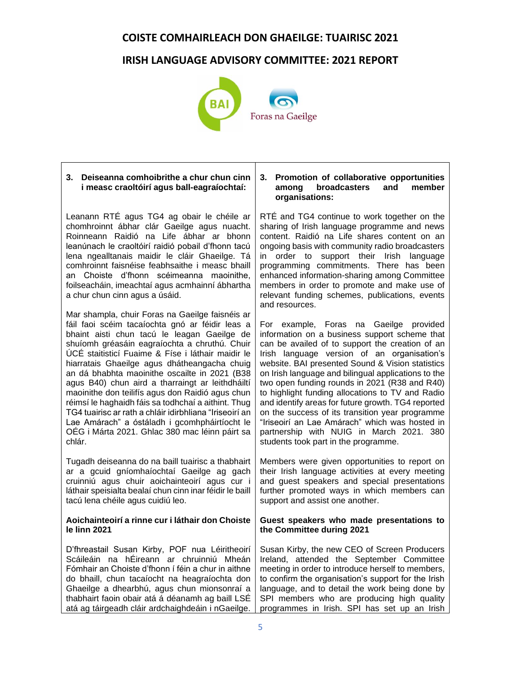# **IRISH LANGUAGE ADVISORY COMMITTEE: 2021 REPORT**



| Deiseanna comhoibrithe a chur chun cinn<br>3.<br>i measc craoltóirí agus ball-eagraíochtaí:                                                                                                                                                                                                                                                                                                                                                                                                                                                                                                                                                                                                     | 3. Promotion of collaborative opportunities<br>broadcasters<br>member<br>among<br>and<br>organisations:                                                                                                                                                                                                                                                                                                                                                                                                                                                                                                                                                  |
|-------------------------------------------------------------------------------------------------------------------------------------------------------------------------------------------------------------------------------------------------------------------------------------------------------------------------------------------------------------------------------------------------------------------------------------------------------------------------------------------------------------------------------------------------------------------------------------------------------------------------------------------------------------------------------------------------|----------------------------------------------------------------------------------------------------------------------------------------------------------------------------------------------------------------------------------------------------------------------------------------------------------------------------------------------------------------------------------------------------------------------------------------------------------------------------------------------------------------------------------------------------------------------------------------------------------------------------------------------------------|
| Leanann RTÉ agus TG4 ag obair le chéile ar<br>chomhroinnt ábhar clár Gaeilge agus nuacht.<br>Roinneann Raidió na Life ábhar ar bhonn<br>leanúnach le craoltóirí raidió pobail d'fhonn tacú<br>lena ngealltanais maidir le cláir Ghaeilge. Tá<br>comhroinnt faisnéise feabhsaithe i measc bhaill<br>an Choiste d'fhonn scéimeanna maoinithe,<br>foilseacháin, imeachtaí agus acmhainní ábhartha<br>a chur chun cinn agus a úsáid.                                                                                                                                                                                                                                                                | RTÉ and TG4 continue to work together on the<br>sharing of Irish language programme and news<br>content. Raidió na Life shares content on an<br>ongoing basis with community radio broadcasters<br>support their Irish language<br>order to<br>in<br>programming commitments. There has been<br>enhanced information-sharing among Committee<br>members in order to promote and make use of<br>relevant funding schemes, publications, events<br>and resources.                                                                                                                                                                                          |
| Mar shampla, chuir Foras na Gaeilge faisnéis ar<br>fáil faoi scéim tacaíochta gnó ar féidir leas a<br>bhaint aisti chun tacú le leagan Gaeilge de<br>shuíomh gréasáin eagraíochta a chruthú. Chuir<br>ÚCÉ staitisticí Fuaime & Físe i láthair maidir le<br>hiarratais Ghaeilge agus dhátheangacha chuig<br>an dá bhabhta maoinithe oscailte in 2021 (B38<br>agus B40) chun aird a tharraingt ar leithdháiltí<br>maoinithe don teilifís agus don Raidió agus chun<br>réimsí le haghaidh fáis sa todhchaí a aithint. Thug<br>TG4 tuairisc ar rath a chláir idirbhliana "Iriseoirí an<br>Lae Amárach" a óstáladh i gcomhpháirtíocht le<br>OÉG i Márta 2021. Ghlac 380 mac léinn páirt sa<br>chlár. | For example, Foras na Gaeilge provided<br>information on a business support scheme that<br>can be availed of to support the creation of an<br>Irish language version of an organisation's<br>website. BAI presented Sound & Vision statistics<br>on Irish language and bilingual applications to the<br>two open funding rounds in 2021 (R38 and R40)<br>to highlight funding allocations to TV and Radio<br>and identify areas for future growth. TG4 reported<br>on the success of its transition year programme<br>"Iriseoirí an Lae Amárach" which was hosted in<br>partnership with NUIG in March 2021. 380<br>students took part in the programme. |
| Tugadh deiseanna do na baill tuairisc a thabhairt<br>ar a gcuid gníomhaíochtaí Gaeilge ag gach<br>cruinniú agus chuir aoichainteoirí agus cur i<br>láthair speisialta bealaí chun cinn inar féidir le baill<br>tacú lena chéile agus cuidiú leo.                                                                                                                                                                                                                                                                                                                                                                                                                                                | Members were given opportunities to report on<br>their Irish language activities at every meeting<br>and guest speakers and special presentations<br>further promoted ways in which members can<br>support and assist one another.                                                                                                                                                                                                                                                                                                                                                                                                                       |
| Aoichainteoirí a rinne cur i láthair don Choiste<br>le linn 2021                                                                                                                                                                                                                                                                                                                                                                                                                                                                                                                                                                                                                                | Guest speakers who made presentations to<br>the Committee during 2021                                                                                                                                                                                                                                                                                                                                                                                                                                                                                                                                                                                    |
| D'fhreastail Susan Kirby, POF nua Léiritheoirí<br>Scáileáin na hÉireann ar chruinniú<br>Mheán<br>Fómhair an Choiste d'fhonn í féin a chur in aithne<br>do bhaill, chun tacaíocht na heagraíochta don<br>Ghaeilge a dhearbhú, agus chun mionsonraí a<br>thabhairt faoin obair atá á déanamh ag baill LSÉ<br>atá ag táirgeadh cláir ardchaighdeáin i nGaeilge.                                                                                                                                                                                                                                                                                                                                    | Susan Kirby, the new CEO of Screen Producers<br>Ireland, attended the September Committee<br>meeting in order to introduce herself to members,<br>to confirm the organisation's support for the Irish<br>language, and to detail the work being done by<br>SPI members who are producing high quality<br>programmes in Irish. SPI has set up an Irish                                                                                                                                                                                                                                                                                                    |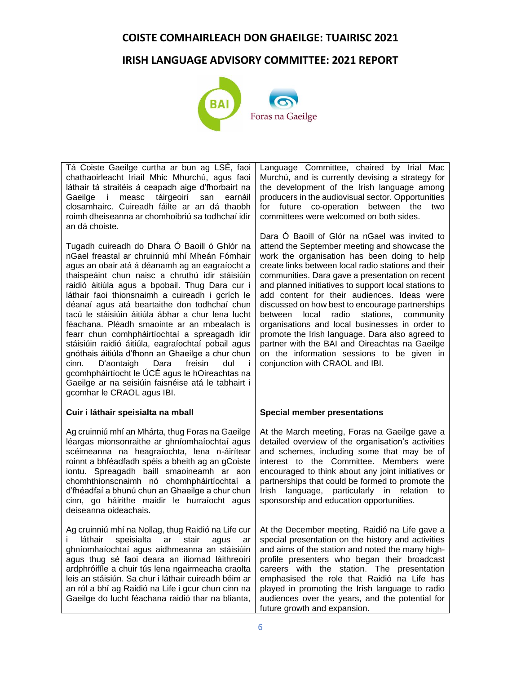# **IRISH LANGUAGE ADVISORY COMMITTEE: 2021 REPORT**



Tá Coiste Gaeilge curtha ar bun ag LSÉ, faoi chathaoirleacht Iriail Mhic Mhurchú, agus faoi láthair tá straitéis á ceapadh aige d'fhorbairt na Gaeilge i measc táirgeoirí san earnáil closamhairc. Cuireadh fáilte ar an dá thaobh roimh dheiseanna ar chomhoibriú sa todhchaí idir an dá choiste.

Tugadh cuireadh do Dhara Ó Baoill ó Ghlór na nGael freastal ar chruinniú mhí Mheán Fómhair agus an obair atá á déanamh ag an eagraíocht a thaispeáint chun naisc a chruthú idir stáisiúin raidió áitiúla agus a bpobail. Thug Dara cur i láthair faoi thionsnaimh a cuireadh i gcrích le déanaí agus atá beartaithe don todhchaí chun tacú le stáisiúin áitiúla ábhar a chur lena lucht féachana. Pléadh smaointe ar an mbealach is fearr chun comhpháirtíochtaí a spreagadh idir stáisiúin raidió áitiúla, eagraíochtaí pobail agus gnóthais áitiúla d'fhonn an Ghaeilge a chur chun cinn. D'aontaigh Dara freisin dul i gcomhpháirtíocht le ÚCÉ agus le hOireachtas na Gaeilge ar na seisiúin faisnéise atá le tabhairt i gcomhar le CRAOL agus IBI.

#### **Cuir i láthair speisialta na mball**

Ag cruinniú mhí an Mhárta, thug Foras na Gaeilge léargas mionsonraithe ar ghníomhaíochtaí agus scéimeanna na heagraíochta, lena n-áirítear roinnt a bhféadfadh spéis a bheith ag an gCoiste iontu. Spreagadh baill smaoineamh ar aon chomhthionscnaimh nó chomhpháirtíochtaí a d'fhéadfaí a bhunú chun an Ghaeilge a chur chun cinn, go háirithe maidir le hurraíocht agus deiseanna oideachais.

Ag cruinniú mhí na Nollag, thug Raidió na Life cur láthair speisialta ar stair agus ar ghníomhaíochtaí agus aidhmeanna an stáisiúin agus thug sé faoi deara an iliomad láithreoirí ardphróifíle a chuir tús lena ngairmeacha craolta leis an stáisiún. Sa chur i láthair cuireadh béim ar an ról a bhí ag Raidió na Life i gcur chun cinn na Gaeilge do lucht féachana raidió thar na blianta,

Language Committee, chaired by Irial Mac Murchú, and is currently devising a strategy for the development of the Irish language among producers in the audiovisual sector. Opportunities for future co-operation between the two committees were welcomed on both sides.

Dara Ó Baoill of Glór na nGael was invited to attend the September meeting and showcase the work the organisation has been doing to help create links between local radio stations and their communities. Dara gave a presentation on recent and planned initiatives to support local stations to add content for their audiences. Ideas were discussed on how best to encourage partnerships between local radio stations, community organisations and local businesses in order to promote the Irish language. Dara also agreed to partner with the BAI and Oireachtas na Gaeilge on the information sessions to be given in conjunction with CRAOL and IBI.

#### **Special member presentations**

At the March meeting, Foras na Gaeilge gave a detailed overview of the organisation's activities and schemes, including some that may be of interest to the Committee. Members were encouraged to think about any joint initiatives or partnerships that could be formed to promote the Irish language, particularly in relation to sponsorship and education opportunities.

At the December meeting, Raidió na Life gave a special presentation on the history and activities and aims of the station and noted the many highprofile presenters who began their broadcast careers with the station. The presentation emphasised the role that Raidió na Life has played in promoting the Irish language to radio audiences over the years, and the potential for future growth and expansion.